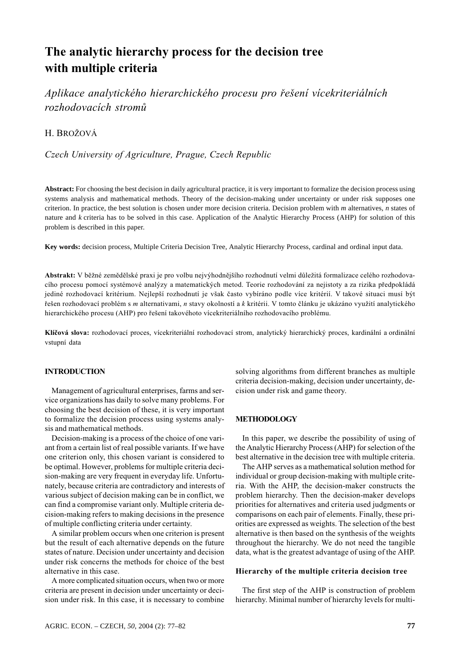# The analytic hierarchy process for the decision tree with multiple criteria

Aplikace analytického hierarchického procesu pro řešení vícekriteriálních rozhodovacích stromů

# H. BROŽOVÁ

Czech University of Agriculture, Prague, Czech Republic

**Abstract:** For choosing the best decision in daily agricultural practice, it is very important to formalize the decision process using systems analysis and mathematical methods. Theory of the decision-making under uncertainty or under risk supposes one criterion. In practice, the best solution is chosen under more decision criteria. Decision problem with *m* alternatives, *n* states of nature and *k* criteria has to be solved in this case. Application of the Analytic Hierarchy Process (AHP) for solution of this problem is described in this paper.

**Key words:** decision process, Multiple Criteria Decision Tree, Analytic Hierarchy Process, cardinal and ordinal input data.

Abstrakt: V běžné zemědělské praxi je pro volbu nejvýhodnějšího rozhodnutí velmi důležitá formalizace celého rozhodovacího procesu pomocí systémové analýzy a matematických metod. Teorie rozhodování za nejistoty a za rizika předpokládá jediné rozhodovací kritérium. Nejlepší rozhodnutí je však často vybíráno podle více kritérií. V takové situaci musí být řešen rozhodovací problém s *m* alternativami, *n* stavy okolností a *k* kritérii. V tomto článku je ukázáno využití analytického hierarchického procesu (AHP) pro řešení takovéhoto vícekriteriálního rozhodovacího problému.

Klíčová slova: rozhodovací proces, vícekriteriální rozhodovací strom, analytický hierarchický proces, kardinální a ordinální vstupní data

### **INTRODUCTION**

Management of agricultural enterprises, farms and service organizations has daily to solve many problems. For choosing the best decision of these, it is very important to formalize the decision process using systems analysis and mathematical methods.

Decision-making is a process of the choice of one variant from a certain list of real possible variants. If we have one criterion only, this chosen variant is considered to be optimal. However, problems for multiple criteria decision-making are very frequent in everyday life. Unfortunately, because criteria are contradictory and interests of various subject of decision making can be in conflict, we can find a compromise variant only. Multiple criteria decision-making refers to making decisions in the presence of multiple conflicting criteria under certainty.

A similar problem occurs when one criterion is present but the result of each alternative depends on the future states of nature. Decision under uncertainty and decision under risk concerns the methods for choice of the best alternative in this case.

A more complicated situation occurs, when two or more criteria are present in decision under uncertainty or decision under risk. In this case, it is necessary to combine solving algorithms from different branches as multiple criteria decision-making, decision under uncertainty, decision under risk and game theory.

#### METHODOLOGY

In this paper, we describe the possibility of using of the Analytic Hierarchy Process (AHP) for selection of the best alternative in the decision tree with multiple criteria.

The AHP serves as a mathematical solution method for individual or group decision-making with multiple criteria. With the AHP, the decision-maker constructs the problem hierarchy. Then the decision-maker develops priorities for alternatives and criteria used judgments or comparisons on each pair of elements. Finally, these priorities are expressed as weights. The selection of the best alternative is then based on the synthesis of the weights throughout the hierarchy. We do not need the tangible data, what is the greatest advantage of using of the AHP.

## Hierarchy of the multiple criteria decision tree

The first step of the AHP is construction of problem hierarchy. Minimal number of hierarchy levels for multi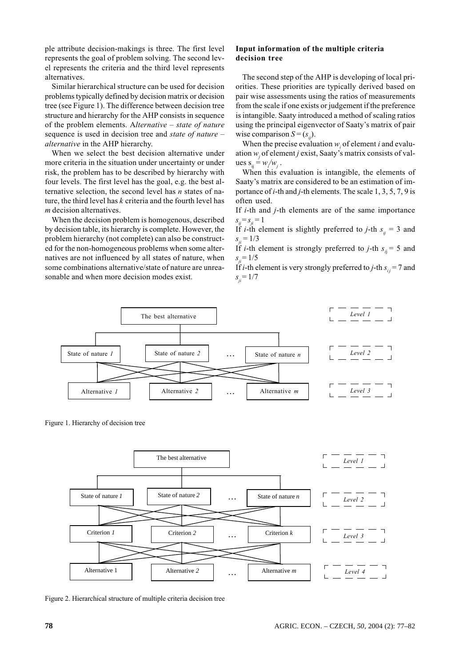ple attribute decision-makings is three. The first level represents the goal of problem solving. The second level represents the criteria and the third level represents alternatives.

Similar hierarchical structure can be used for decision problems typically defined by decision matrix or decision tree (see Figure 1). The difference between decision tree structure and hierarchy for the AHP consists in sequence of the problem elements. Alternative – state of nature sequence is used in decision tree and *state of nature* – *alternative* in the AHP hierarchy.

When we select the best decision alternative under more criteria in the situation under uncertainty or under risk, the problem has to be described by hierarchy with four levels. The first level has the goal, e.g. the best alternative selection, the second level has  $n$  states of nature, the third level has  $k$  criteria and the fourth level has  $m$  decision alternatives.

When the decision problem is homogenous, described by decision table, its hierarchy is complete. However, the problem hierarchy (not complete) can also be constructed for the non-homogeneous problems when some alternatives are not influenced by all states of nature, when some combinations alternative/state of nature are unreasonable and when more decision modes exist.

## Input information of the multiple criteria decision tree

The second step of the AHP is developing of local priorities. These priorities are typically derived based on pair wise assessments using the ratios of measurements from the scale if one exists or judgement if the preference is intangible. Saaty introduced a method of scaling ratios using the principal eigenvector of Saaty's matrix of pair wise comparison  $S = (s_{ii})$ .

When the precise evaluation  $w_i$  of element i and evaluation  $w$  of element *i* exist, Saaty's matrix consists of values  $s_n = w/w_i$ .

When this evaluation is intangible, the elements of Saaty's matrix are considered to be an estimation of importance of *i*-th and *i*-th elements. The scale 1, 3, 5, 7, 9 is often used.

If  $i$ -th and  $j$ -th elements are of the same importance  $s_n = s_n = 1$ 

If *i*-th element is slightly preferred to *j*-th  $s_n = 3$  and  $s_{u} = 1/3$ 

If *i*-th element is strongly preferred to *j*-th  $s_{ii} = 5$  and  $s = 1/5$ 

If *i*-th element is very strongly preferred to *j*-th  $s_{ii}$  = 7 and  $s_{ii} = 1/7$ 



Figure 1. Hierarchy of decision tree



Figure 2. Hierarchical structure of multiple criteria decision tree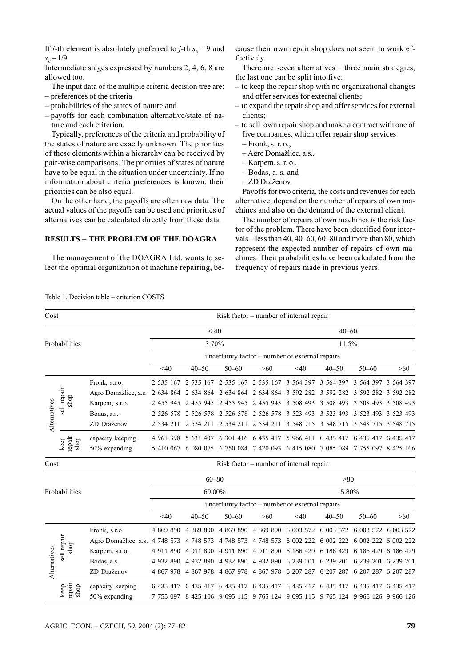Intermediate stages expressed by numbers 2, 4, 6, 8 are allowed too.

- The input data of the multiple criteria decision tree are: – preferences of the criteria
- probabilities of the states of nature and
- payoffs for each combination alternative/state of nature and each criterion.

Typically, preferences of the criteria and probability of the states of nature are exactly unknown. The priorities of these elements within a hierarchy can be received by pair-wise comparisons. The priorities of states of nature have to be equal in the situation under uncertainty. If no information about criteria preferences is known, their priorities can be also equal.

On the other hand, the payoffs are often raw data. The actual values of the payoffs can be used and priorities of alternatives can be calculated directly from these data.

## RESULTS – THE PROBLEM OF THE DOAGRA

The management of the DOAGRA Ltd. wants to select the optimal organization of machine repairing, be-

Table 1. Decision table – criterion COSTS

cause their own repair shop does not seem to work effectively.

- There are seven alternatives  $-$  three main strategies, the last one can be split into five:
- to keep the repair shop with no organizational changes and offer services for external clients;
- to expand the repair shop and offer services for external clients;
- to sell own repair shop and make a contract with one of five companies, which offer repair shop services
	- $-$  Fronk, s. r. o.,
	- Agro Domažlice, a.s.,
	- Karpem, s. r. o.,
	- Bodas, a. s. and
	- ZD Draženov.

Payoffs for two criteria, the costs and revenues for each alternative, depend on the number of repairs of own machines and also on the demand of the external client.

The number of repairs of own machines is the risk factor of the problem. There have been identified four intervals  $-$  less than 40, 40–60, 60–80 and more than 80, which represent the expected number of repairs of own machines. Their probabilities have been calculated from the frequency of repairs made in previous years.

| Cost          |                                    | Risk factor – number of internal repair  |                                                 |                               |                                         |           |                     |                                                                                 |                     |     |
|---------------|------------------------------------|------------------------------------------|-------------------------------------------------|-------------------------------|-----------------------------------------|-----------|---------------------|---------------------------------------------------------------------------------|---------------------|-----|
| Probabilities |                                    |                                          | < 40<br>3.70%                                   |                               |                                         |           | $40 - 60$<br>11.5%  |                                                                                 |                     |     |
|               |                                    |                                          |                                                 |                               |                                         |           |                     |                                                                                 |                     |     |
|               |                                    |                                          | $<$ 40                                          | $40 - 50$                     | $50 - 60$                               | >60       | $<$ 40              | $40 - 50$                                                                       | $50 - 60$           | >60 |
|               |                                    | Fronk, s.r.o.                            |                                                 |                               |                                         |           |                     | 2 535 167 2 535 167 2 535 167 2 535 167 3 564 397 3 564 397 3 564 397 3 564 397 |                     |     |
| Alternatives  |                                    | Agro Domažlice, a.s. 2 634 864 2 634 864 |                                                 |                               | 2 634 864                               | 2 634 864 | 3 592 282           | 3 592 282 3 592 282 3 592 282                                                   |                     |     |
|               | sell repair<br>shop                | Karpem, s.r.o.                           | 2 455 945                                       | 2 455 945                     | 2 455 945                               | 2 455 945 | 3 508 493           | 3 508 493                                                                       | 3 508 493 3 508 493 |     |
|               |                                    | Bodas, a.s.                              | 2 526 578                                       | 2 5 2 6 5 7 8                 | 2 526 578                               | 2 526 578 | 3 523 493           | 3 523 493                                                                       | 3 523 493 3 523 493 |     |
|               |                                    | ZD Draženov                              | 2 534 211                                       | 2 534 211                     | 2 534 211                               |           |                     | 2 534 211 3 548 715 3 548 715 3 548 715 3 548 715                               |                     |     |
|               | repair<br>keep<br>$\mathbf{s}$ hop | capacity keeping                         |                                                 |                               |                                         |           |                     | 4 961 398 5 631 407 6 301 416 6 435 417 5 966 411 6 435 417 6 435 417 6 435 417 |                     |     |
|               |                                    | 50% expanding                            |                                                 |                               |                                         |           |                     | 5 410 067 6 080 075 6 750 084 7 420 093 6 415 080 7 085 089 7 755 097 8 425 106 |                     |     |
| Cost          |                                    |                                          |                                                 |                               | Risk factor – number of internal repair |           |                     |                                                                                 |                     |     |
|               |                                    |                                          |                                                 | $60 - 80$                     |                                         |           |                     | > 80                                                                            |                     |     |
| Probabilities |                                    |                                          | 69.00%                                          |                               |                                         |           | 15.80%              |                                                                                 |                     |     |
|               |                                    |                                          | uncertainty factor – number of external repairs |                               |                                         |           |                     |                                                                                 |                     |     |
|               |                                    |                                          | $<$ 40                                          | $40 - 50$                     | $50 - 60$                               | $>60$     | $<$ 40              | $40 - 50$                                                                       | $50 - 60$           | >60 |
|               | sell repair<br>shop                | Fronk, s.r.o.                            | 4 869 890                                       | 4 869 890                     | 4 869 890                               |           |                     | 4 869 890 6 003 572 6 003 572 6 003 572 6 003 572                               |                     |     |
| Alternatives  |                                    | Agro Domažlice, a.s. 4 748 573           |                                                 | 4 748 573                     | 4 748 573                               | 4 748 573 | 6 002 222           | 6 002 222                                                                       | 6 002 222 6 002 222 |     |
|               |                                    | Karpem, s.r.o.                           | 4 911 890                                       | 4 9 11 8 9 0                  | 4 9 11 8 9 0                            |           | 4 911 890 6 186 429 | 6 186 429                                                                       | 6 186 429 6 186 429 |     |
|               |                                    | Bodas, a.s.                              | 4 932 890                                       | 4 932 890                     | 4 9 3 2 8 9 0                           | 4 932 890 |                     | 6 239 201 6 239 201                                                             | 6 239 201 6 239 201 |     |
|               |                                    | ZD Draženov                              | 4 867 978                                       | 4 867 978                     | 4 867 978                               |           |                     | 4 867 978 6 207 287 6 207 287 6 207 287 6 207 287                               |                     |     |
|               | repair<br>keep<br>shop             | capacity keeping                         |                                                 |                               |                                         |           |                     | 6 435 417 6 435 417 6 435 417 6 435 417 6 435 417 6 435 417 6 435 417 6 435 417 |                     |     |
|               |                                    | 50% expanding                            |                                                 | 7 755 097 8 425 106 9 095 115 |                                         |           |                     | 9 765 124 9 095 115 9 765 124 9 966 126 9 966 126                               |                     |     |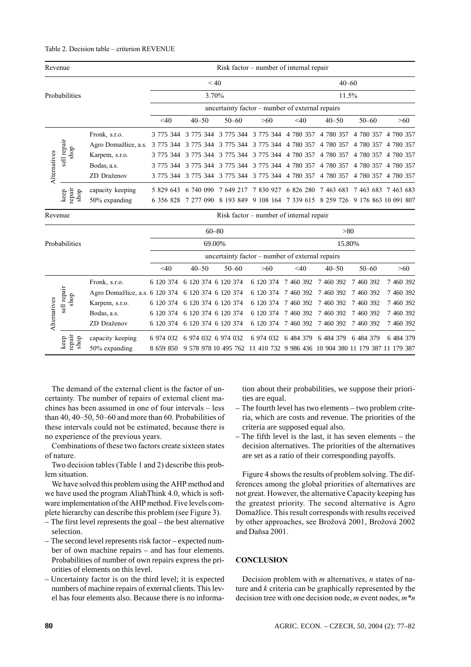## Table 2. Decision table - criterion REVENUE

| Revenue       |                        |                      | Risk factor – number of internal repair         |           |                     |                                                                                  |                                         |           |                                         |     |  |
|---------------|------------------------|----------------------|-------------------------------------------------|-----------|---------------------|----------------------------------------------------------------------------------|-----------------------------------------|-----------|-----------------------------------------|-----|--|
|               |                        |                      | < 40                                            |           |                     |                                                                                  | $40 - 60$                               |           |                                         |     |  |
| Probabilities |                        |                      |                                                 | 3.70%     |                     |                                                                                  | 11.5%                                   |           |                                         |     |  |
|               |                        |                      | uncertainty factor – number of external repairs |           |                     |                                                                                  |                                         |           |                                         |     |  |
|               |                        |                      | $<$ 40                                          | $40 - 50$ | $50 - 60$           | >60                                                                              | $<$ 40                                  | $40 - 50$ | $50 - 60$                               | >60 |  |
|               | sell repair<br>shop    | Fronk, s.r.o.        |                                                 |           |                     | 3 775 344 3 775 344 3 775 344 3 775 344 4 780 357 4 780 357                      |                                         |           | 4 780 357 4 780 357                     |     |  |
| Alternatives  |                        | Agro Domažlice, a.s. |                                                 |           |                     | 3 775 344 3 775 344 3 775 344 3 775 344 4 780 357 4 780 357 4 780 357 4 780 357  |                                         |           |                                         |     |  |
|               |                        | Karpem, s.r.o.       |                                                 |           |                     | 3 775 344 3 775 344 3 775 344 3 775 344 4 780 357 4 780 357 4 780 357 4 780 357  |                                         |           |                                         |     |  |
|               |                        | Bodas, a.s.          |                                                 |           |                     | 3 775 344 3 775 344 3 775 344 3 775 344 4 780 357 4 780 357                      |                                         |           | 4 780 357 4 780 357                     |     |  |
|               |                        | ZD Draženov          |                                                 |           |                     | 3 775 344 3 775 344 3 775 344 3 775 344 4 780 357 4 780 357 4 780 357 4 780 357  |                                         |           |                                         |     |  |
|               | repair<br>shop<br>keep | capacity keeping     | 5 829 643                                       |           | 6 740 090 7 649 217 | 7 830 927                                                                        |                                         |           | 6 826 280 7 463 683 7 463 683 7 463 683 |     |  |
|               |                        | $50\%$ expanding     |                                                 |           |                     | 6 356 828 7 277 090 8 193 849 9 108 164 7 339 615 8 259 726 9 176 863 10 091 807 |                                         |           |                                         |     |  |
| $R$ evenue    |                        |                      |                                                 |           |                     |                                                                                  | Risk factor – number of internal renair |           |                                         |     |  |

|               |                        |                                                    |           |                                                 |                     |                                                                                      | numovi of mivinui repun |                                         |           |               |
|---------------|------------------------|----------------------------------------------------|-----------|-------------------------------------------------|---------------------|--------------------------------------------------------------------------------------|-------------------------|-----------------------------------------|-----------|---------------|
|               |                        |                                                    |           |                                                 | $60 - 80$           |                                                                                      |                         |                                         | >80       |               |
| Probabilities |                        |                                                    |           |                                                 | 69.00%              |                                                                                      | 15.80%                  |                                         |           |               |
|               |                        |                                                    |           | uncertainty factor – number of external repairs |                     |                                                                                      |                         |                                         |           |               |
|               |                        |                                                    | $\leq 40$ | $40 - 50$                                       | $50 - 60$           | >60                                                                                  | $<$ 40                  | $40 - 50$                               | $50 - 60$ | >60           |
|               |                        | Fronk, s.r.o.                                      | 6 120 374 |                                                 | 6 120 374 6 120 374 |                                                                                      |                         | 6 120 374 7 460 392 7 460 392 7 460 392 |           | 7 460 392     |
| Alternatives  | sell repair            | Agro Domažlice, a.s. 6 120 374 6 120 374 6 120 374 |           |                                                 |                     |                                                                                      |                         | 6 120 374 7 460 392 7 460 392 7 460 392 |           | 7 460 392     |
|               | shop                   | Karpem, s.r.o.                                     |           | 6 120 374 6 120 374 6 120 374                   |                     |                                                                                      |                         | 6 120 374 7 460 392 7 460 392 7 460 392 |           | 7 460 392     |
|               |                        | Bodas, a.s.                                        |           | 6 120 374 6 120 374 6 120 374                   |                     |                                                                                      |                         | 6 120 374 7 460 392 7 460 392 7 460 392 |           | 7 460 392     |
|               |                        | ZD Draženov                                        |           | 6 120 374 6 120 374 6 120 374                   |                     |                                                                                      |                         | 6 120 374 7 460 392 7 460 392 7 460 392 |           | 7 460 392     |
|               | repair<br>keep<br>shop | capacity keeping                                   | 6 974 032 |                                                 | 6 974 032 6 974 032 |                                                                                      | 6 974 032 6 484 379     | 6 484 379                               | 6 484 379 | 6 4 8 4 3 7 9 |
|               |                        | $50\%$ expanding                                   |           |                                                 |                     | 8 659 850 9 578 978 10 495 762 11 410 732 9 986 436 10 904 380 11 179 387 11 179 387 |                         |                                         |           |               |

The demand of the external client is the factor of uncertainty. The number of repairs of external client machines has been assumed in one of four intervals – less than 40, 40–50, 50–60 and more than 60. Probabilities of these intervals could not be estimated, because there is no experience of the previous years.

Combinations of these two factors create sixteen states of nature

Two decision tables (Table 1 and 2) describe this problem situation.

We have solved this problem using the AHP method and we have used the program Aliah Think 4.0, which is software implementation of the AHP method. Five levels complete hierarchy can describe this problem (see Figure 3).

- $-$  The first level represents the goal  $-$  the best alternative selection.
- The second level represents risk factor expected number of own machine repairs – and has four elements. Probabilities of number of own repairs express the priorities of elements on this level.
- Uncertainty factor is on the third level; it is expected numbers of machine repairs of external clients. This level has four elements also. Because there is no informa-

tion about their probabilities, we suppose their priorities are equal.

- The fourth level has two elements two problem criteria, which are costs and revenue. The priorities of the criteria are supposed equal also.
- $-$  The fifth level is the last, it has seven elements  $-$  the decision alternatives. The priorities of the alternatives are set as a ratio of their corresponding payoffs.

Figure 4 shows the results of problem solving. The differences among the global priorities of alternatives are not great. However, the alternative Capacity keeping has the greatest priority. The second alternative is Agro Domažlice. This result corresponds with results received by other approaches, see Brožová 2001, Brožová 2002 and Daňsa 2001.

## **CONCLUSION**

Decision problem with  $m$  alternatives,  $n$  states of nature and  $k$  criteria can be graphically represented by the decision tree with one decision node, m event nodes,  $m * n$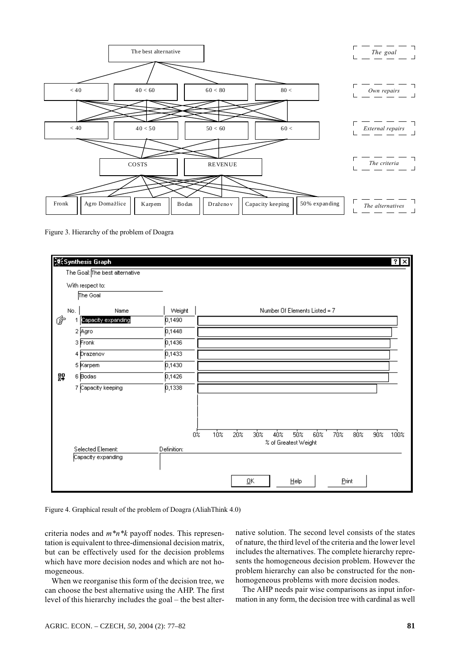

Figure 3. Hierarchy of the problem of Doagra

|    | <b>Synthesis Graph</b><br>The Goal: The best alternative |             | $\overline{?}$ $\times$                                                                     |
|----|----------------------------------------------------------|-------------|---------------------------------------------------------------------------------------------|
|    |                                                          |             |                                                                                             |
|    | With respect to:<br>The Goal                             |             |                                                                                             |
|    |                                                          |             |                                                                                             |
|    | No.<br>Name                                              | Weight      | Number Of Elements Listed = 7                                                               |
| ☞  | Capacity expanding                                       | 0,1490      |                                                                                             |
|    | 2 Agro                                                   | 0,1448      |                                                                                             |
|    | 3 Fronk                                                  | 0,1436      |                                                                                             |
|    | 4 Drazenov                                               | 0,1433      |                                                                                             |
|    | 5 Karpem                                                 | 0,1430      |                                                                                             |
| 80 | 6 Bodas                                                  | 0,1426      |                                                                                             |
|    | 7 Capacity keeping                                       | 0,1338      |                                                                                             |
|    |                                                          | $0\%$       | 50%<br>80%<br>10%<br>20%<br>70%<br>100%<br>30%<br>40%<br>60%<br>90%<br>% of Greatest Weight |
|    | Selected Element:                                        | Definition: |                                                                                             |
|    | Capacity expanding                                       |             |                                                                                             |
|    |                                                          |             | ŌΚ<br>Help<br>Print                                                                         |

Figure 4. Graphical result of the problem of Doagra (AliahThink 4.0)

criteria nodes and  $m^*n^*k$  payoff nodes. This representation is equivalent to three-dimensional decision matrix. but can be effectively used for the decision problems which have more decision nodes and which are not homogeneous.

When we reorganise this form of the decision tree, we can choose the best alternative using the AHP. The first level of this hierarchy includes the goal – the best alternative solution. The second level consists of the states of nature, the third level of the criteria and the lower level includes the alternatives. The complete hierarchy represents the homogeneous decision problem. However the problem hierarchy can also be constructed for the nonhomogeneous problems with more decision nodes.

The AHP needs pair wise comparisons as input information in any form, the decision tree with cardinal as well